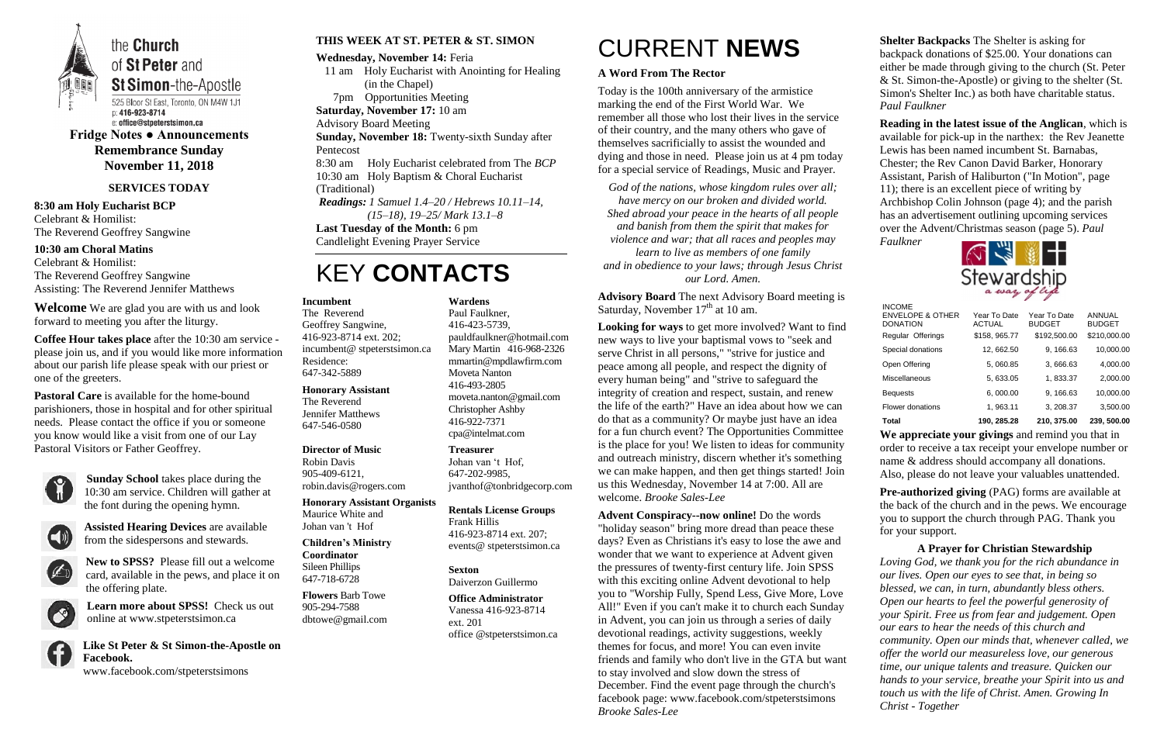

of St Peter and **St Simon-the-Apostle** 

p: 416-923-8714 e: office@stpeterstsimon.ca

**Fridge Notes ● Announcements Remembrance Sunday November 11, 2018**

#### **SERVICES TODAY**

**8:30 am Holy Eucharist BCP** Celebrant & Homilist: The Reverend Geoffrey Sangwine

**10:30 am Choral Matins** Celebrant & Homilist: The Reverend Geoffrey Sangwine Assisting: The Reverend Jennifer Matthews

**Welcome** We are glad you are with us and look forward to meeting you after the liturgy.

**Coffee Hour takes place** after the 10:30 am service please join us, and if you would like more information about our parish life please speak with our priest or one of the greeters.

**Pastoral Care** is available for the home-bound parishioners, those in hospital and for other spiritual needs. Please contact the office if you or someone you know would like a visit from one of our Lay Pastoral Visitors or Father Geoffrey.



**Sunday School** takes place during the 10:30 am service. Children will gather at the font during the opening hymn.



**Assisted Hearing Devices** are available from the sidespersons and stewards.



**New to SPSS?** Please fill out a welcome card, available in the pews, and place it on the offering plate.

**Learn more about SPSS!** Check us out online at www.stpeterstsimon.ca



**Like St Peter & St Simon-the-Apostle on Facebook.**  www.facebook.com/stpeterstsimons

**Advisory Board** The next Advisory Board meeting is Saturday, November  $17<sup>th</sup>$  at 10 am.

#### **THIS WEEK AT ST. PETER & ST. SIMON**

**Wednesday, November 14:** Feria

 11 am Holy Eucharist with Anointing for Healing (in the Chapel) 7pm Opportunities Meeting **Saturday, November 17:** 10 am Advisory Board Meeting **Sunday, November 18:** Twenty-sixth Sunday after Pentecost 8:30 am Holy Eucharist celebrated from The *BCP* 10:30 am Holy Baptism & Choral Eucharist (Traditional) *Readings: 1 Samuel 1.4–20 / Hebrews 10.11–14, (15–18), 19–25/ Mark 13.1–8*

**Last Tuesday of the Month:** 6 pm

Candlelight Evening Prayer Service

# KEY **CONTACTS**

# CURRENT **NEWS**

#### **A Word From The Rector**

Today is the 100th anniversary of the armistice marking the end of the First World War. We remember all those who lost their lives in the service of their country, and the many others who gave of themselves sacrificially to assist the wounded and dying and those in need. Please join us at 4 pm today for a special service of Readings, Music and Prayer.

*God of the nations, whose kingdom rules over all; have mercy on our broken and divided world. Shed abroad your peace in the hearts of all people and banish from them the spirit that makes for violence and war; that all races and peoples may learn to live as members of one family and in obedience to your laws; through Jesus Christ our Lord. Amen.*

> **Pre-authorized giving (PAG) forms are available at** the back of the church and in the pews. We encourage you to support the church through PAG. Thank you for your support.

**Looking for ways** to get more involved? Want to find new ways to live your baptismal vows to "seek and serve Christ in all persons," "strive for justice and peace among all people, and respect the dignity of every human being" and "strive to safeguard the integrity of creation and respect, sustain, and renew the life of the earth?" Have an idea about how we can do that as a community? Or maybe just have an idea for a fun church event? The Opportunities Committee is the place for you! We listen to ideas for community and outreach ministry, discern whether it's something we can make happen, and then get things started! Join us this Wednesday, November 14 at 7:00. All are welcome. *Brooke Sales-Lee*

**Advent Conspiracy--now online!** Do the words "holiday season" bring more dread than peace these days? Even as Christians it's easy to lose the awe and wonder that we want to experience at Advent given the pressures of twenty-first century life. Join SPSS with this exciting online Advent devotional to help you to "Worship Fully, Spend Less, Give More, Love All!" Even if you can't make it to church each Sunday in Advent, you can join us through a series of daily devotional readings, activity suggestions, weekly themes for focus, and more! You can even invite friends and family who don't live in the GTA but want to stay involved and slow down the stress of December. Find the event page through the church's facebook page: www.facebook.com/stpeterstsimons *Brooke Sales-Lee*

### **Shelter Backpacks** The Shelter is asking for

backpack donations of \$25.00. Your donations can either be made through giving to the church (St. Peter & St. Simon-the-Apostle) or giving to the shelter (St. Simon's Shelter Inc.) as both have charitable status. *Paul Faulkner*

**Reading in the latest issue of the Anglican**, which is available for pick-up in the narthex: the Rev Jeanette Lewis has been named incumbent St. Barnabas, Chester; the Rev Canon David Barker, Honorary Assistant, Parish of Haliburton ("In Motion", page 11); there is an excellent piece of writing by Archbishop Colin Johnson (page 4); and the parish has an advertisement outlining upcoming services over the Advent/Christmas season (page 5). *Paul Faulkner*



**We appreciate your givings** and remind you that in order to receive a tax receipt your envelope number or name & address should accompany all donations. Also, please do not leave your valuables unattended.

**A Prayer for Christian Stewardship** *Loving God, we thank you for the rich abundance in our lives. Open our eyes to see that, in being so blessed, we can, in turn, abundantly bless others. Open our hearts to feel the powerful generosity of your Spirit. Free us from fear and judgement. Open our ears to hear the needs of this church and community. Open our minds that, whenever called, we offer the world our measureless love, our generous time, our unique talents and treasure. Quicken our hands to your service, breathe your Spirit into us and touch us with the life of Christ. Amen. Growing In Christ - Together*

#### **Incumbent**

The Reverend Geoffrey Sangwine, 416-923-8714 ext. 202; incumbent@ stpeterstsimon.ca Residence: 647-342-5889

#### **Honorary Assistant**

The Reverend Jennifer Matthews 647-546-0580

#### **Director of Music**

Robin Davis 905-409-6121, robin.davis@rogers.com

#### **Honorary Assistant Organists**  Maurice White and Johan van 't Hof

#### **Children's Ministry Coordinator**

Sileen Phillips 647-718-6728

**Flowers** Barb Towe 905-294-7588 dbtowe@gmail.com **Wardens** 

Paul Faulkner, 416-423-5739,

[pauldfaulkner@hotmail.com](mailto:pauldfaulkner@hotmail.com)  Mary Martin 416-968-2326 mmartin@mpdlawfirm.com Moveta Nanton 416-493-2805 moveta.nanton@gmail.com Christopher Ashby 416-922-7371 cpa@intelmat.com

**Treasurer**  Johan van 't Hof, 647-202-9985, jvanthof@tonbridgecorp.com

**Rentals License Groups** Frank Hillis 416-923-8714 ext. 207; events@ stpeterstsimon.ca

**Sexton** Daiverzon Guillermo

**Office Administrator** Vanessa 416-923-8714 ext. 201 office @stpeterstsimon.ca

| <b>Total</b>                                                    | 190.285.28                    | 210.375.00                    | 239, 500,00             |
|-----------------------------------------------------------------|-------------------------------|-------------------------------|-------------------------|
| Flower donations                                                | 1, 963.11                     | 3, 208.37                     | 3,500.00                |
| <b>Bequests</b>                                                 | 6,000.00                      | 9, 166.63                     | 10,000.00               |
| Miscellaneous                                                   | 5.633.05                      | 1,833.37                      | 2,000.00                |
| Open Offering                                                   | 5,060.85                      | 3,666.63                      | 4,000.00                |
| Special donations                                               | 12, 662.50                    | 9, 166.63                     | 10,000.00               |
| Regular Offerings                                               | \$158, 965.77                 | \$192,500.00                  | \$210,000.00            |
| <b>INCOME</b><br><b>ENVELOPE &amp; OTHER</b><br><b>DONATION</b> | Year To Date<br><b>ACTUAL</b> | Year To Date<br><b>BUDGET</b> | ANNUAL<br><b>BUDGET</b> |